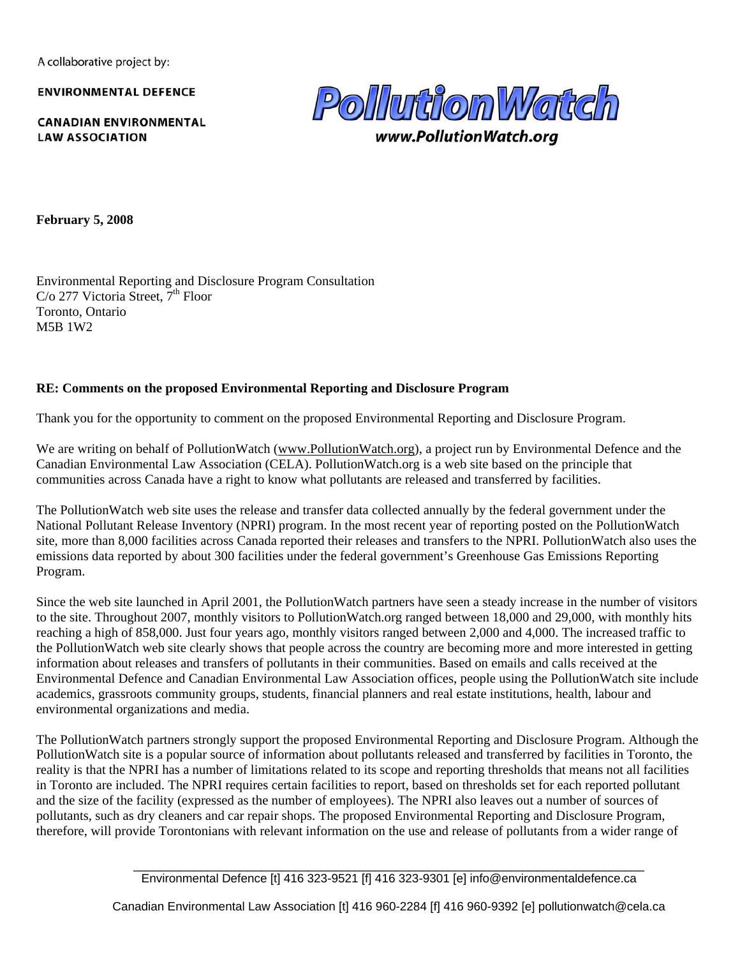A collaborative project by:

**ENVIRONMENTAL DEFENCE** 

**CANADIAN ENVIRONMENTAL LAW ASSOCIATION** 



www.PollutionWatch.ora

**February 5, 2008** 

Environmental Reporting and Disclosure Program Consultation C/o 277 Victoria Street,  $7<sup>th</sup>$  Floor Toronto, Ontario M5B 1W2

### **RE: Comments on the proposed Environmental Reporting and Disclosure Program**

Thank you for the opportunity to comment on the proposed Environmental Reporting and Disclosure Program.

We are writing on behalf of PollutionWatch (www.PollutionWatch.org), a project run by Environmental Defence and the Canadian Environmental Law Association (CELA). PollutionWatch.org is a web site based on the principle that communities across Canada have a right to know what pollutants are released and transferred by facilities.

The PollutionWatch web site uses the release and transfer data collected annually by the federal government under the National Pollutant Release Inventory (NPRI) program. In the most recent year of reporting posted on the PollutionWatch site, more than 8,000 facilities across Canada reported their releases and transfers to the NPRI. PollutionWatch also uses the emissions data reported by about 300 facilities under the federal government's Greenhouse Gas Emissions Reporting Program.

Since the web site launched in April 2001, the PollutionWatch partners have seen a steady increase in the number of visitors to the site. Throughout 2007, monthly visitors to PollutionWatch.org ranged between 18,000 and 29,000, with monthly hits reaching a high of 858,000. Just four years ago, monthly visitors ranged between 2,000 and 4,000. The increased traffic to the PollutionWatch web site clearly shows that people across the country are becoming more and more interested in getting information about releases and transfers of pollutants in their communities. Based on emails and calls received at the Environmental Defence and Canadian Environmental Law Association offices, people using the PollutionWatch site include academics, grassroots community groups, students, financial planners and real estate institutions, health, labour and environmental organizations and media.

The PollutionWatch partners strongly support the proposed Environmental Reporting and Disclosure Program. Although the PollutionWatch site is a popular source of information about pollutants released and transferred by facilities in Toronto, the reality is that the NPRI has a number of limitations related to its scope and reporting thresholds that means not all facilities in Toronto are included. The NPRI requires certain facilities to report, based on thresholds set for each reported pollutant and the size of the facility (expressed as the number of employees). The NPRI also leaves out a number of sources of pollutants, such as dry cleaners and car repair shops. The proposed Environmental Reporting and Disclosure Program, therefore, will provide Torontonians with relevant information on the use and release of pollutants from a wider range of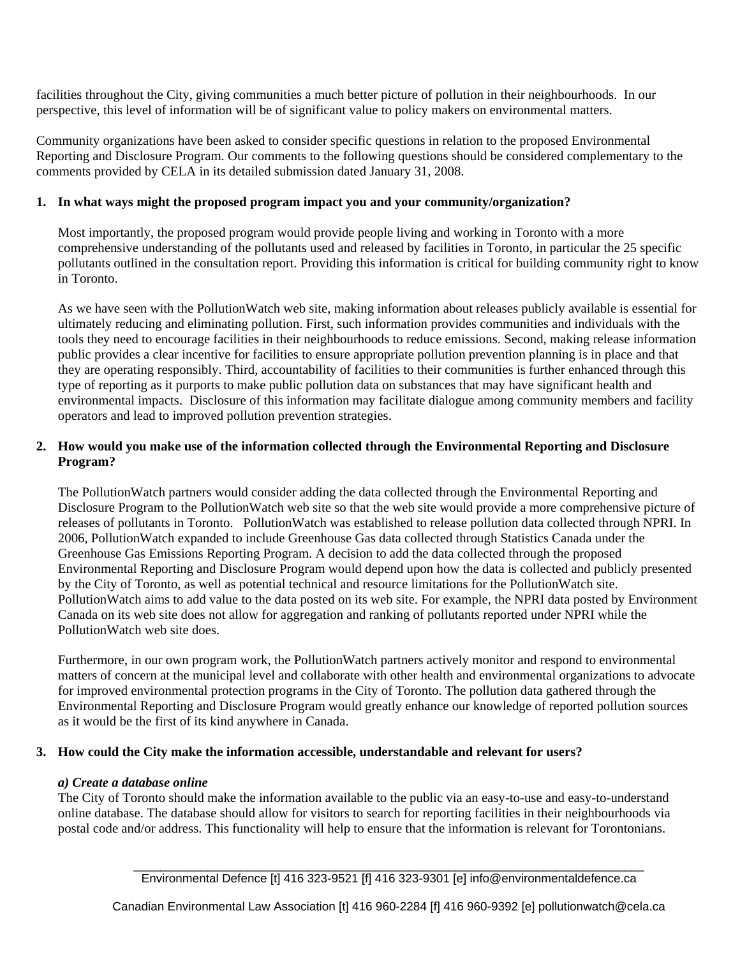facilities throughout the City, giving communities a much better picture of pollution in their neighbourhoods. In our perspective, this level of information will be of significant value to policy makers on environmental matters.

Community organizations have been asked to consider specific questions in relation to the proposed Environmental Reporting and Disclosure Program. Our comments to the following questions should be considered complementary to the comments provided by CELA in its detailed submission dated January 31, 2008.

#### **1. In what ways might the proposed program impact you and your community/organization?**

Most importantly, the proposed program would provide people living and working in Toronto with a more comprehensive understanding of the pollutants used and released by facilities in Toronto, in particular the 25 specific pollutants outlined in the consultation report. Providing this information is critical for building community right to know in Toronto.

As we have seen with the PollutionWatch web site, making information about releases publicly available is essential for ultimately reducing and eliminating pollution. First, such information provides communities and individuals with the tools they need to encourage facilities in their neighbourhoods to reduce emissions. Second, making release information public provides a clear incentive for facilities to ensure appropriate pollution prevention planning is in place and that they are operating responsibly. Third, accountability of facilities to their communities is further enhanced through this type of reporting as it purports to make public pollution data on substances that may have significant health and environmental impacts. Disclosure of this information may facilitate dialogue among community members and facility operators and lead to improved pollution prevention strategies.

### **2. How would you make use of the information collected through the Environmental Reporting and Disclosure Program?**

The PollutionWatch partners would consider adding the data collected through the Environmental Reporting and Disclosure Program to the PollutionWatch web site so that the web site would provide a more comprehensive picture of releases of pollutants in Toronto. PollutionWatch was established to release pollution data collected through NPRI. In 2006, PollutionWatch expanded to include Greenhouse Gas data collected through Statistics Canada under the Greenhouse Gas Emissions Reporting Program. A decision to add the data collected through the proposed Environmental Reporting and Disclosure Program would depend upon how the data is collected and publicly presented by the City of Toronto, as well as potential technical and resource limitations for the PollutionWatch site. PollutionWatch aims to add value to the data posted on its web site. For example, the NPRI data posted by Environment Canada on its web site does not allow for aggregation and ranking of pollutants reported under NPRI while the PollutionWatch web site does.

Furthermore, in our own program work, the PollutionWatch partners actively monitor and respond to environmental matters of concern at the municipal level and collaborate with other health and environmental organizations to advocate for improved environmental protection programs in the City of Toronto. The pollution data gathered through the Environmental Reporting and Disclosure Program would greatly enhance our knowledge of reported pollution sources as it would be the first of its kind anywhere in Canada.

#### **3. How could the City make the information accessible, understandable and relevant for users?**

#### *a) Create a database online*

The City of Toronto should make the information available to the public via an easy-to-use and easy-to-understand online database. The database should allow for visitors to search for reporting facilities in their neighbourhoods via postal code and/or address. This functionality will help to ensure that the information is relevant for Torontonians.

Canadian Environmental Law Association [t] 416 960-2284 [f] 416 960-9392 [e] pollutionwatch@cela.ca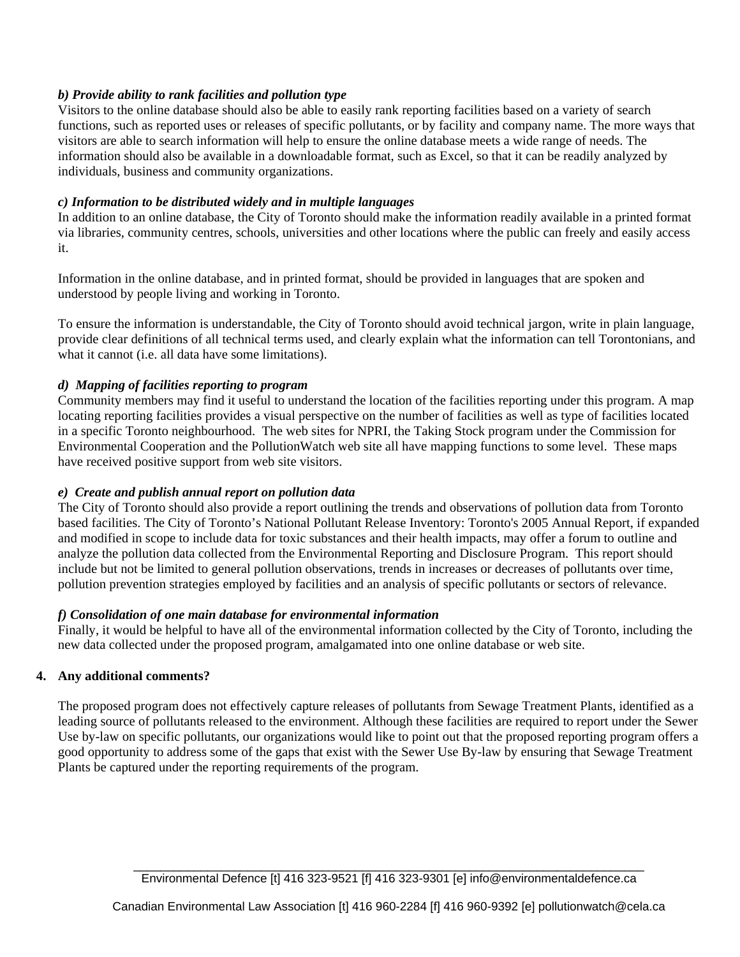# *b) Provide ability to rank facilities and pollution type*

Visitors to the online database should also be able to easily rank reporting facilities based on a variety of search functions, such as reported uses or releases of specific pollutants, or by facility and company name. The more ways that visitors are able to search information will help to ensure the online database meets a wide range of needs. The information should also be available in a downloadable format, such as Excel, so that it can be readily analyzed by individuals, business and community organizations.

# *c) Information to be distributed widely and in multiple languages*

In addition to an online database, the City of Toronto should make the information readily available in a printed format via libraries, community centres, schools, universities and other locations where the public can freely and easily access it.

Information in the online database, and in printed format, should be provided in languages that are spoken and understood by people living and working in Toronto.

To ensure the information is understandable, the City of Toronto should avoid technical jargon, write in plain language, provide clear definitions of all technical terms used, and clearly explain what the information can tell Torontonians, and what it cannot (i.e. all data have some limitations).

# *d) Mapping of facilities reporting to program*

Community members may find it useful to understand the location of the facilities reporting under this program. A map locating reporting facilities provides a visual perspective on the number of facilities as well as type of facilities located in a specific Toronto neighbourhood. The web sites for NPRI, the Taking Stock program under the Commission for Environmental Cooperation and the PollutionWatch web site all have mapping functions to some level. These maps have received positive support from web site visitors.

### *e) Create and publish annual report on pollution data*

The City of Toronto should also provide a report outlining the trends and observations of pollution data from Toronto based facilities. The City of Toronto's National Pollutant Release Inventory: Toronto's 2005 Annual Report, if expanded and modified in scope to include data for toxic substances and their health impacts, may offer a forum to outline and analyze the pollution data collected from the Environmental Reporting and Disclosure Program. This report should include but not be limited to general pollution observations, trends in increases or decreases of pollutants over time, pollution prevention strategies employed by facilities and an analysis of specific pollutants or sectors of relevance.

### *f) Consolidation of one main database for environmental information*

Finally, it would be helpful to have all of the environmental information collected by the City of Toronto, including the new data collected under the proposed program, amalgamated into one online database or web site.

# **4. Any additional comments?**

The proposed program does not effectively capture releases of pollutants from Sewage Treatment Plants, identified as a leading source of pollutants released to the environment. Although these facilities are required to report under the Sewer Use by-law on specific pollutants, our organizations would like to point out that the proposed reporting program offers a good opportunity to address some of the gaps that exist with the Sewer Use By-law by ensuring that Sewage Treatment Plants be captured under the reporting requirements of the program.